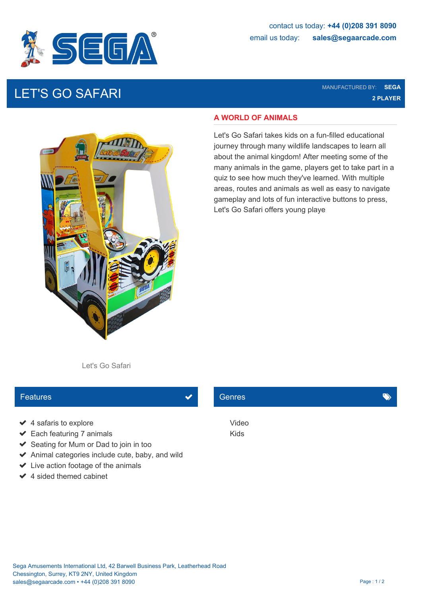

# LET'S GO SAFARI MANUFACTURED BY: **SEGA**

**2 PLAYER**



#### **A WORLD OF ANIMALS**

Let's Go Safari takes kids on a fun-filled educational journey through many wildlife landscapes to learn all about the animal kingdom! After meeting some of the many animals in the game, players get to take part in a quiz to see how much they've learned. With multiple areas, routes and animals as well as easy to navigate gameplay and lots of fun interactive buttons to press, Let's Go Safari offers young playe

Let's Go Safari

#### Features **Contract Contract Contract Contract Contract Contract Contract Contract Contract Contract Contract Contract Contract Contract Contract Contract Contract Contract Contract Contract Contract Contract Contract Contr**

- ◆ 4 safaris to explore Video
- ◆ Each featuring 7 animals Kids
- $\blacktriangleright$  Seating for Mum or Dad to join in too
- $\triangleright$  Animal categories include cute, baby, and wild
- $\blacktriangleright$  Live action footage of the animals
- $\angle$  4 sided themed cabinet

### Genres **General Community of the Community**

Video Kids